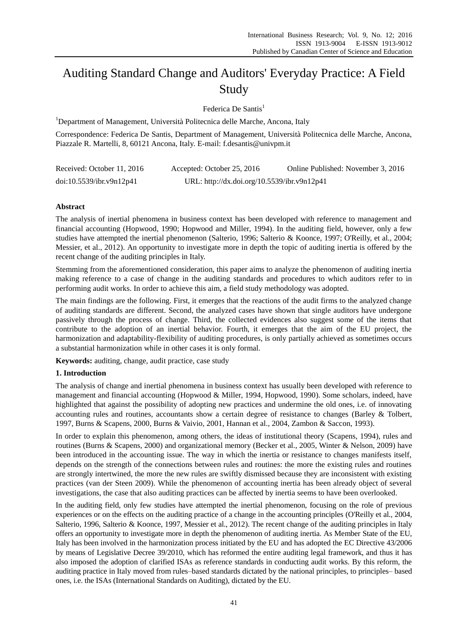# Auditing Standard Change and Auditors' Everyday Practice: A Field Study

Federica De Santis<sup>1</sup>

<sup>1</sup>Department of Management, Universit à Politecnica delle Marche, Ancona, Italy

Correspondence: Federica De Santis, Department of Management, Università Politecnica delle Marche, Ancona, Piazzale R. Martelli, 8, 60121 Ancona, Italy. E-mail: f.desantis@univpm.it

| Received: October 11, 2016 | Accepted: October 25, 2016                  | Online Published: November 3, 2016 |
|----------------------------|---------------------------------------------|------------------------------------|
| doi:10.5539/ibr.v9n12p41   | URL: http://dx.doi.org/10.5539/ibr.v9n12p41 |                                    |

# **Abstract**

The analysis of inertial phenomena in business context has been developed with reference to management and financial accounting (Hopwood, 1990; Hopwood and Miller, 1994). In the auditing field, however, only a few studies have attempted the inertial phenomenon (Salterio, 1996; Salterio & Koonce, 1997; O'Reilly, et al., 2004; Messier, et al., 2012). An opportunity to investigate more in depth the topic of auditing inertia is offered by the recent change of the auditing principles in Italy.

Stemming from the aforementioned consideration, this paper aims to analyze the phenomenon of auditing inertia making reference to a case of change in the auditing standards and procedures to which auditors refer to in performing audit works. In order to achieve this aim, a field study methodology was adopted.

The main findings are the following. First, it emerges that the reactions of the audit firms to the analyzed change of auditing standards are different. Second, the analyzed cases have shown that single auditors have undergone passively through the process of change. Third, the collected evidences also suggest some of the items that contribute to the adoption of an inertial behavior. Fourth, it emerges that the aim of the EU project, the harmonization and adaptability-flexibility of auditing procedures, is only partially achieved as sometimes occurs a substantial harmonization while in other cases it is only formal.

**Keywords:** auditing, change, audit practice, case study

# **1. Introduction**

The analysis of change and inertial phenomena in business context has usually been developed with reference to management and financial accounting (Hopwood & Miller, 1994, Hopwood, 1990). Some scholars, indeed, have highlighted that against the possibility of adopting new practices and undermine the old ones, i.e. of innovating accounting rules and routines, accountants show a certain degree of resistance to changes (Barley & Tolbert, 1997, Burns & Scapens, 2000, Burns & Vaivio, 2001, Hannan et al., 2004, Zambon & Saccon, 1993).

In order to explain this phenomenon, among others, the ideas of institutional theory (Scapens, 1994), rules and routines (Burns & Scapens, 2000) and organizational memory (Becker et al., 2005, Winter & Nelson, 2009) have been introduced in the accounting issue. The way in which the inertia or resistance to changes manifests itself, depends on the strength of the connections between rules and routines: the more the existing rules and routines are strongly intertwined, the more the new rules are swiftly dismissed because they are inconsistent with existing practices (van der Steen 2009). While the phenomenon of accounting inertia has been already object of several investigations, the case that also auditing practices can be affected by inertia seems to have been overlooked.

In the auditing field, only few studies have attempted the inertial phenomenon, focusing on the role of previous experiences or on the effects on the auditing practice of a change in the accounting principles (O'Reilly et al., 2004, Salterio, 1996, Salterio & Koonce, 1997, Messier et al., 2012). The recent change of the auditing principles in Italy offers an opportunity to investigate more in depth the phenomenon of auditing inertia. As Member State of the EU, Italy has been involved in the harmonization process initiated by the EU and has adopted the EC Directive 43/2006 by means of Legislative Decree 39/2010, which has reformed the entire auditing legal framework, and thus it has also imposed the adoption of clarified ISAs as reference standards in conducting audit works. By this reform, the auditing practice in Italy moved from rules–based standards dictated by the national principles, to principles– based ones, i.e. the ISAs (International Standards on Auditing), dictated by the EU.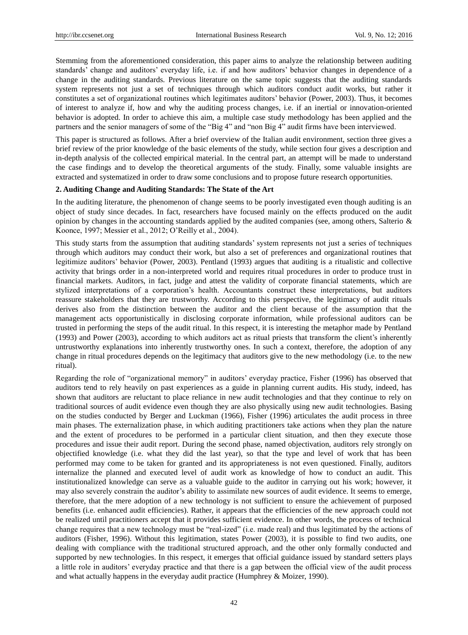Stemming from the aforementioned consideration, this paper aims to analyze the relationship between auditing standards" change and auditors" everyday life, i.e. if and how auditors" behavior changes in dependence of a change in the auditing standards. Previous literature on the same topic suggests that the auditing standards system represents not just a set of techniques through which auditors conduct audit works, but rather it constitutes a set of organizational routines which legitimates auditors" behavior (Power, 2003). Thus, it becomes of interest to analyze if, how and why the auditing process changes, i.e. if an inertial or innovation-oriented behavior is adopted. In order to achieve this aim, a multiple case study methodology has been applied and the partners and the senior managers of some of the "Big 4" and "non Big 4" audit firms have been interviewed.

This paper is structured as follows. After a brief overview of the Italian audit environment, section three gives a brief review of the prior knowledge of the basic elements of the study, while section four gives a description and in-depth analysis of the collected empirical material. In the central part, an attempt will be made to understand the case findings and to develop the theoretical arguments of the study. Finally, some valuable insights are extracted and systematized in order to draw some conclusions and to propose future research opportunities.

#### **2. Auditing Change and Auditing Standards: The State of the Art**

In the auditing literature, the phenomenon of change seems to be poorly investigated even though auditing is an object of study since decades. In fact, researchers have focused mainly on the effects produced on the audit opinion by changes in the accounting standards applied by the audited companies (see, among others, Salterio  $\&$ Koonce, 1997; Messier et al., 2012; O"Reilly et al., 2004).

This study starts from the assumption that auditing standards" system represents not just a series of techniques through which auditors may conduct their work, but also a set of preferences and organizational routines that legitimize auditors" behavior (Power, 2003). Pentland (1993) argues that auditing is a ritualistic and collective activity that brings order in a non-interpreted world and requires ritual procedures in order to produce trust in financial markets. Auditors, in fact, judge and attest the validity of corporate financial statements, which are stylized interpretations of a corporation"s health. Accountants construct these interpretations, but auditors reassure stakeholders that they are trustworthy. According to this perspective, the legitimacy of audit rituals derives also from the distinction between the auditor and the client because of the assumption that the management acts opportunistically in disclosing corporate information, while professional auditors can be trusted in performing the steps of the audit ritual. In this respect, it is interesting the metaphor made by Pentland (1993) and Power (2003), according to which auditors act as ritual priests that transform the client"s inherently untrustworthy explanations into inherently trustworthy ones. In such a context, therefore, the adoption of any change in ritual procedures depends on the legitimacy that auditors give to the new methodology (i.e. to the new ritual).

Regarding the role of "organizational memory" in auditors" everyday practice, Fisher (1996) has observed that auditors tend to rely heavily on past experiences as a guide in planning current audits. His study, indeed, has shown that auditors are reluctant to place reliance in new audit technologies and that they continue to rely on traditional sources of audit evidence even though they are also physically using new audit technologies. Basing on the studies conducted by Berger and Luckman (1966), Fisher (1996) articulates the audit process in three main phases. The externalization phase, in which auditing practitioners take actions when they plan the nature and the extent of procedures to be performed in a particular client situation, and then they execute those procedures and issue their audit report. During the second phase, named objectivation, auditors rely strongly on objectified knowledge (i.e. what they did the last year), so that the type and level of work that has been performed may come to be taken for granted and its appropriateness is not even questioned. Finally, auditors internalize the planned and executed level of audit work as knowledge of how to conduct an audit. This institutionalized knowledge can serve as a valuable guide to the auditor in carrying out his work; however, it may also severely constrain the auditor's ability to assimilate new sources of audit evidence. It seems to emerge, therefore, that the mere adoption of a new technology is not sufficient to ensure the achievement of purposed benefits (i.e. enhanced audit efficiencies). Rather, it appears that the efficiencies of the new approach could not be realized until practitioners accept that it provides sufficient evidence. In other words, the process of technical change requires that a new technology must be "real-ized" (i.e. made real) and thus legitimated by the actions of auditors (Fisher, 1996). Without this legitimation, states Power (2003), it is possible to find two audits, one dealing with compliance with the traditional structured approach, and the other only formally conducted and supported by new technologies. In this respect, it emerges that official guidance issued by standard setters plays a little role in auditors" everyday practice and that there is a gap between the official view of the audit process and what actually happens in the everyday audit practice (Humphrey & Moizer, 1990).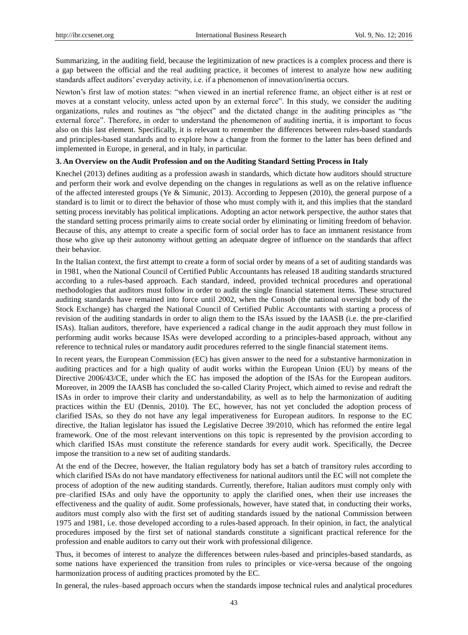Summarizing, in the auditing field, because the legitimization of new practices is a complex process and there is a gap between the official and the real auditing practice, it becomes of interest to analyze how new auditing standards affect auditors" everyday activity, i.e. if a phenomenon of innovation/inertia occurs.

Newton"s first law of motion states: "when viewed in an inertial reference frame, an object either is at rest or moves at a constant velocity, unless acted upon by an external force". In this study, we consider the auditing organizations, rules and routines as "the object" and the dictated change in the auditing principles as "the external force". Therefore, in order to understand the phenomenon of auditing inertia, it is important to focus also on this last element. Specifically, it is relevant to remember the differences between rules-based standards and principles-based standards and to explore how a change from the former to the latter has been defined and implemented in Europe, in general, and in Italy, in particular.

### **3. An Overview on the Audit Profession and on the Auditing Standard Setting Process in Italy**

Knechel (2013) defines auditing as a profession awash in standards, which dictate how auditors should structure and perform their work and evolve depending on the changes in regulations as well as on the relative influence of the affected interested groups (Ye & Simunic, 2013). According to Jeppesen (2010), the general purpose of a standard is to limit or to direct the behavior of those who must comply with it, and this implies that the standard setting process inevitably has political implications. Adopting an actor network perspective, the author states that the standard setting process primarily aims to create social order by eliminating or limiting freedom of behavior. Because of this, any attempt to create a specific form of social order has to face an immanent resistance from those who give up their autonomy without getting an adequate degree of influence on the standards that affect their behavior.

In the Italian context, the first attempt to create a form of social order by means of a set of auditing standards was in 1981, when the National Council of Certified Public Accountants has released 18 auditing standards structured according to a rules-based approach. Each standard, indeed, provided technical procedures and operational methodologies that auditors must follow in order to audit the single financial statement items. These structured auditing standards have remained into force until 2002, when the Consob (the national oversight body of the Stock Exchange) has charged the National Council of Certified Public Accountants with starting a process of revision of the auditing standards in order to align them to the ISAs issued by the IAASB (i.e. the pre-clarified ISAs). Italian auditors, therefore, have experienced a radical change in the audit approach they must follow in performing audit works because ISAs were developed according to a principles-based approach, without any reference to technical rules or mandatory audit procedures referred to the single financial statement items.

In recent years, the European Commission (EC) has given answer to the need for a substantive harmonization in auditing practices and for a high quality of audit works within the European Union (EU) by means of the Directive 2006/43/CE, under which the EC has imposed the adoption of the ISAs for the European auditors. Moreover, in 2009 the IAASB has concluded the so-called Clarity Project, which aimed to revise and redraft the ISAs in order to improve their clarity and understandability, as well as to help the harmonization of auditing practices within the EU (Dennis, 2010). The EC, however, has not yet concluded the adoption process of clarified ISAs, so they do not have any legal imperativeness for European auditors. In response to the EC directive, the Italian legislator has issued the Legislative Decree 39/2010, which has reformed the entire legal framework. One of the most relevant interventions on this topic is represented by the provision according to which clarified ISAs must constitute the reference standards for every audit work. Specifically, the Decree impose the transition to a new set of auditing standards.

At the end of the Decree, however, the Italian regulatory body has set a batch of transitory rules according to which clarified ISAs do not have mandatory effectiveness for national auditors until the EC will not complete the process of adoption of the new auditing standards. Currently, therefore, Italian auditors must comply only with pre–clarified ISAs and only have the opportunity to apply the clarified ones, when their use increases the effectiveness and the quality of audit. Some professionals, however, have stated that, in conducting their works, auditors must comply also with the first set of auditing standards issued by the national Commission between 1975 and 1981, i.e. those developed according to a rules-based approach. In their opinion, in fact, the analytical procedures imposed by the first set of national standards constitute a significant practical reference for the profession and enable auditors to carry out their work with professional diligence.

Thus, it becomes of interest to analyze the differences between rules-based and principles-based standards, as some nations have experienced the transition from rules to principles or vice-versa because of the ongoing harmonization process of auditing practices promoted by the EC.

In general, the rules–based approach occurs when the standards impose technical rules and analytical procedures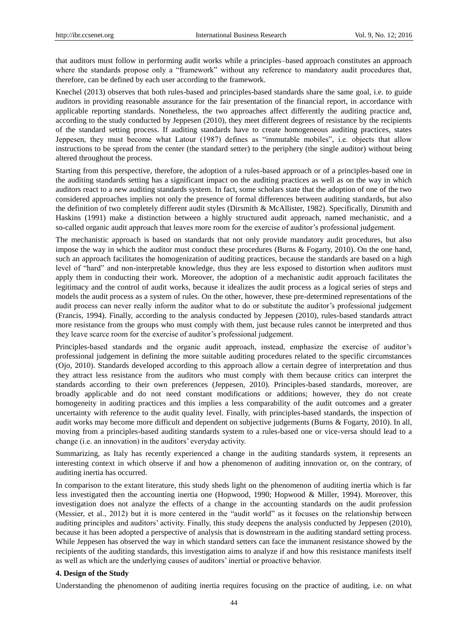that auditors must follow in performing audit works while a principles–based approach constitutes an approach where the standards propose only a "framework" without any reference to mandatory audit procedures that, therefore, can be defined by each user according to the framework.

Knechel (2013) observes that both rules-based and principles-based standards share the same goal, i.e. to guide auditors in providing reasonable assurance for the fair presentation of the financial report, in accordance with applicable reporting standards. Nonetheless, the two approaches affect differently the auditing practice and, according to the study conducted by Jeppesen (2010), they meet different degrees of resistance by the recipients of the standard setting process. If auditing standards have to create homogeneous auditing practices, states Jeppesen, they must become what Latour (1987) defines as "immutable mobiles", i.e. objects that allow instructions to be spread from the center (the standard setter) to the periphery (the single auditor) without being altered throughout the process.

Starting from this perspective, therefore, the adoption of a rules-based approach or of a principles-based one in the auditing standards setting has a significant impact on the auditing practices as well as on the way in which auditors react to a new auditing standards system. In fact, some scholars state that the adoption of one of the two considered approaches implies not only the presence of formal differences between auditing standards, but also the definition of two completely different audit styles (Dirsmith & McAllister, 1982). Specifically, Dirsmith and Haskins (1991) make a distinction between a highly structured audit approach, named mechanistic, and a so-called organic audit approach that leaves more room for the exercise of auditor"s professional judgement.

The mechanistic approach is based on standards that not only provide mandatory audit procedures, but also impose the way in which the auditor must conduct these procedures (Burns & Fogarty, 2010). On the one hand, such an approach facilitates the homogenization of auditing practices, because the standards are based on a high level of "hard" and non-interpretable knowledge, thus they are less exposed to distortion when auditors must apply them in conducting their work. Moreover, the adoption of a mechanistic audit approach facilitates the legitimacy and the control of audit works, because it idealizes the audit process as a logical series of steps and models the audit process as a system of rules. On the other, however, these pre-determined representations of the audit process can never really inform the auditor what to do or substitute the auditor"s professional judgement (Francis, 1994). Finally, according to the analysis conducted by Jeppesen (2010), rules-based standards attract more resistance from the groups who must comply with them, just because rules cannot be interpreted and thus they leave scarce room for the exercise of auditor"s professional judgement.

Principles-based standards and the organic audit approach, instead, emphasize the exercise of auditor's professional judgement in defining the more suitable auditing procedures related to the specific circumstances (Ojo, 2010). Standards developed according to this approach allow a certain degree of interpretation and thus they attract less resistance from the auditors who must comply with them because critics can interpret the standards according to their own preferences (Jeppesen, 2010). Principles-based standards, moreover, are broadly applicable and do not need constant modifications or additions; however, they do not create homogeneity in auditing practices and this implies a less comparability of the audit outcomes and a greater uncertainty with reference to the audit quality level. Finally, with principles-based standards, the inspection of audit works may become more difficult and dependent on subjective judgements (Burns & Fogarty, 2010). In all, moving from a principles-based auditing standards system to a rules-based one or vice-versa should lead to a change (i.e. an innovation) in the auditors' everyday activity.

Summarizing, as Italy has recently experienced a change in the auditing standards system, it represents an interesting context in which observe if and how a phenomenon of auditing innovation or, on the contrary, of auditing inertia has occurred.

In comparison to the extant literature, this study sheds light on the phenomenon of auditing inertia which is far less investigated then the accounting inertia one (Hopwood, 1990; Hopwood & Miller, 1994). Moreover, this investigation does not analyze the effects of a change in the accounting standards on the audit profession (Messier, et al., 2012) but it is more centered in the "audit world" as it focuses on the relationship between auditing principles and auditors" activity. Finally, this study deepens the analysis conducted by Jeppesen (2010), because it has been adopted a perspective of analysis that is downstream in the auditing standard setting process. While Jeppesen has observed the way in which standard setters can face the immanent resistance showed by the recipients of the auditing standards, this investigation aims to analyze if and how this resistance manifests itself as well as which are the underlying causes of auditors" inertial or proactive behavior.

#### **4. Design of the Study**

Understanding the phenomenon of auditing inertia requires focusing on the practice of auditing, i.e. on what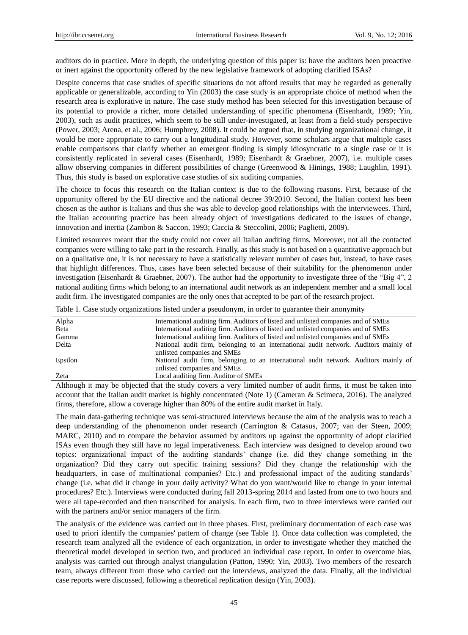auditors do in practice. More in depth, the underlying question of this paper is: have the auditors been proactive or inert against the opportunity offered by the new legislative framework of adopting clarified ISAs?

Despite concerns that case studies of specific situations do not afford results that may be regarded as generally applicable or generalizable, according to Yin (2003) the case study is an appropriate choice of method when the research area is explorative in nature. The case study method has been selected for this investigation because of its potential to provide a richer, more detailed understanding of specific phenomena (Eisenhardt, 1989; Yin, 2003), such as audit practices, which seem to be still under-investigated, at least from a field-study perspective (Power, 2003; Arena, et al., 2006; Humphrey, 2008). It could be argued that, in studying organizational change, it would be more appropriate to carry out a longitudinal study. However, some scholars argue that multiple cases enable comparisons that clarify whether an emergent finding is simply idiosyncratic to a single case or it is consistently replicated in several cases (Eisenhardt, 1989; Eisenhardt & Graebner, 2007), i.e. multiple cases allow observing companies in different possibilities of change (Greenwood & Hinings, 1988; Laughlin, 1991). Thus, this study is based on explorative case studies of six auditing companies.

The choice to focus this research on the Italian context is due to the following reasons. First, because of the opportunity offered by the EU directive and the national decree 39/2010. Second, the Italian context has been chosen as the author is Italians and thus she was able to develop good relationships with the interviewees. Third, the Italian accounting practice has been already object of investigations dedicated to the issues of change, innovation and inertia (Zambon & Saccon, 1993; Caccia & Steccolini, 2006; Paglietti, 2009).

Limited resources meant that the study could not cover all Italian auditing firms. Moreover, not all the contacted companies were willing to take part in the research. Finally, as this study is not based on a quantitative approach but on a qualitative one, it is not necessary to have a statistically relevant number of cases but, instead, to have cases that highlight differences. Thus, cases have been selected because of their suitability for the phenomenon under investigation (Eisenhardt & Graebner, 2007). The author had the opportunity to investigate three of the "Big 4", 2 national auditing firms which belong to an international audit network as an independent member and a small local audit firm. The investigated companies are the only ones that accepted to be part of the research project.

Table 1. Case study organizations listed under a pseudonym, in order to guarantee their anonymity

| Alpha   | International auditing firm. Auditors of listed and unlisted companies and of SMEs                                  |
|---------|---------------------------------------------------------------------------------------------------------------------|
| Beta    | International auditing firm. Auditors of listed and unlisted companies and of SMEs                                  |
| Gamma   | International auditing firm. Auditors of listed and unlisted companies and of SMEs                                  |
| Delta   | National audit firm, belonging to an international audit network. Auditors mainly of<br>unlisted companies and SMEs |
| Epsilon | National audit firm, belonging to an international audit network. Auditors mainly of<br>unlisted companies and SMEs |
| Zeta    | Local auditing firm. Auditor of SMEs                                                                                |

Although it may be objected that the study covers a very limited number of audit firms, it must be taken into account that the Italian audit market is highly concentrated (Note 1) (Cameran & Scimeca, 2016). The analyzed firms, therefore, allow a coverage higher than 80% of the entire audit market in Italy.

The main data-gathering technique was semi-structured interviews because the aim of the analysis was to reach a deep understanding of the phenomenon under research (Carrington & Catasus, 2007; van der Steen, 2009; MARC, 2010) and to compare the behavior assumed by auditors up against the opportunity of adopt clarified ISAs even though they still have no legal imperativeness. Each interview was designed to develop around two topics: organizational impact of the auditing standards" change (i.e. did they change something in the organization? Did they carry out specific training sessions? Did they change the relationship with the headquarters, in case of multinational companies? Etc.) and professional impact of the auditing standards' change (i.e. what did it change in your daily activity? What do you want/would like to change in your internal procedures? Etc.). Interviews were conducted during fall 2013-spring 2014 and lasted from one to two hours and were all tape-recorded and then transcribed for analysis. In each firm, two to three interviews were carried out with the partners and/or senior managers of the firm.

The analysis of the evidence was carried out in three phases. First, preliminary documentation of each case was used to priori identify the companies' pattern of change (see Table 1). Once data collection was completed, the research team analyzed all the evidence of each organization, in order to investigate whether they matched the theoretical model developed in section two, and produced an individual case report. In order to overcome bias, analysis was carried out through analyst triangulation (Patton, 1990; Yin, 2003). Two members of the research team, always different from those who carried out the interviews, analyzed the data. Finally, all the individual case reports were discussed, following a theoretical replication design (Yin, 2003).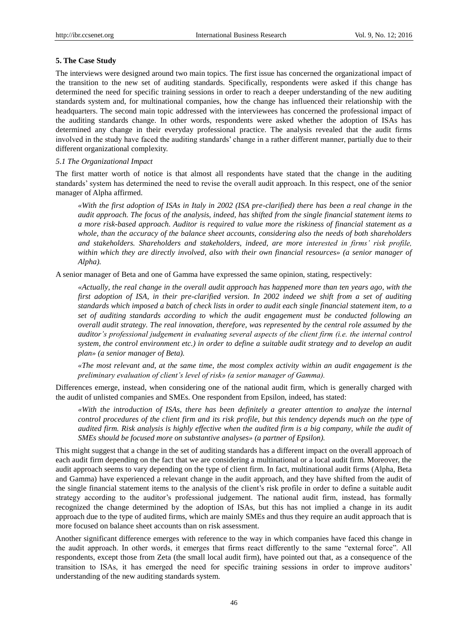## **5. The Case Study**

The interviews were designed around two main topics. The first issue has concerned the organizational impact of the transition to the new set of auditing standards. Specifically, respondents were asked if this change has determined the need for specific training sessions in order to reach a deeper understanding of the new auditing standards system and, for multinational companies, how the change has influenced their relationship with the headquarters. The second main topic addressed with the interviewees has concerned the professional impact of the auditing standards change. In other words, respondents were asked whether the adoption of ISAs has determined any change in their everyday professional practice. The analysis revealed that the audit firms involved in the study have faced the auditing standards" change in a rather different manner, partially due to their different organizational complexity.

# *5.1 The Organizational Impact*

The first matter worth of notice is that almost all respondents have stated that the change in the auditing standards" system has determined the need to revise the overall audit approach. In this respect, one of the senior manager of Alpha affirmed.

*«With the first adoption of ISAs in Italy in 2002 (ISA pre-clarified) there has been a real change in the audit approach. The focus of the analysis, indeed, has shifted from the single financial statement items to a more risk-based approach. Auditor is required to value more the riskiness of financial statement as a whole, than the accuracy of the balance sheet accounts, considering also the needs of both shareholders and stakeholders. Shareholders and stakeholders, indeed, are more interested in firms' risk profile, within which they are directly involved, also with their own financial resources» (a senior manager of Alpha).*

A senior manager of Beta and one of Gamma have expressed the same opinion, stating, respectively:

*«Actually, the real change in the overall audit approach has happened more than ten years ago, with the first adoption of ISA, in their pre-clarified version. In 2002 indeed we shift from a set of auditing standards which imposed a batch of check lists in order to audit each single financial statement item, to a set of auditing standards according to which the audit engagement must be conducted following an overall audit strategy. The real innovation, therefore, was represented by the central role assumed by the auditor's professional judgement in evaluating several aspects of the client firm (i.e. the internal control system, the control environment etc.) in order to define a suitable audit strategy and to develop an audit plan» (a senior manager of Beta).*

*«The most relevant and, at the same time, the most complex activity within an audit engagement is the preliminary evaluation of client's level of risk» (a senior manager of Gamma).*

Differences emerge, instead, when considering one of the national audit firm, which is generally charged with the audit of unlisted companies and SMEs. One respondent from Epsilon, indeed, has stated:

*«With the introduction of ISAs, there has been definitely a greater attention to analyze the internal control procedures of the client firm and its risk profile, but this tendency depends much on the type of audited firm. Risk analysis is highly effective when the audited firm is a big company, while the audit of SMEs should be focused more on substantive analyses» (a partner of Epsilon).*

This might suggest that a change in the set of auditing standards has a different impact on the overall approach of each audit firm depending on the fact that we are considering a multinational or a local audit firm. Moreover, the audit approach seems to vary depending on the type of client firm. In fact, multinational audit firms (Alpha, Beta and Gamma) have experienced a relevant change in the audit approach, and they have shifted from the audit of the single financial statement items to the analysis of the client"s risk profile in order to define a suitable audit strategy according to the auditor's professional judgement. The national audit firm, instead, has formally recognized the change determined by the adoption of ISAs, but this has not implied a change in its audit approach due to the type of audited firms, which are mainly SMEs and thus they require an audit approach that is more focused on balance sheet accounts than on risk assessment.

Another significant difference emerges with reference to the way in which companies have faced this change in the audit approach. In other words, it emerges that firms react differently to the same "external force". All respondents, except those from Zeta (the small local audit firm), have pointed out that, as a consequence of the transition to ISAs, it has emerged the need for specific training sessions in order to improve auditors" understanding of the new auditing standards system.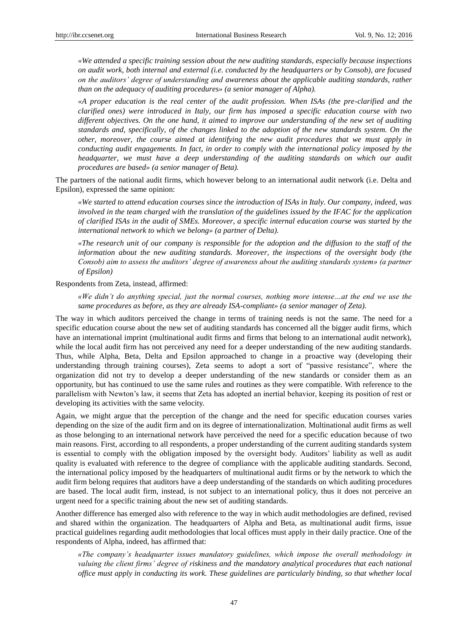*«We attended a specific training session about the new auditing standards, especially because inspections on audit work, both internal and external (i.e. conducted by the headquarters or by Consob), are focused on the auditors' degree of understanding and awareness about the applicable auditing standards, rather than on the adequacy of auditing procedures» (a senior manager of Alpha).*

*«A proper education is the real center of the audit profession. When ISAs (the pre-clarified and the clarified ones) were introduced in Italy, our firm has imposed a specific education course with two different objectives. On the one hand, it aimed to improve our understanding of the new set of auditing standards and, specifically, of the changes linked to the adoption of the new standards system. On the other, moreover, the course aimed at identifying the new audit procedures that we must apply in conducting audit engagements. In fact, in order to comply with the international policy imposed by the headquarter, we must have a deep understanding of the auditing standards on which our audit procedures are based» (a senior manager of Beta).*

The partners of the national audit firms, which however belong to an international audit network (i.e. Delta and Epsilon), expressed the same opinion:

*«We started to attend education courses since the introduction of ISAs in Italy. Our company, indeed, was involved in the team charged with the translation of the guidelines issued by the IFAC for the application of clarified ISAs in the audit of SMEs. Moreover, a specific internal education course was started by the international network to which we belong» (a partner of Delta).*

*«The research unit of our company is responsible for the adoption and the diffusion to the staff of the information about the new auditing standards. Moreover, the inspections of the oversight body (the Consob) aim to assess the auditors' degree of awareness about the auditing standards system» (a partner of Epsilon)*

Respondents from Zeta, instead, affirmed:

*«We didn't do anything special, just the normal courses, nothing more intense…at the end we use the same procedures as before, as they are already ISA-compliant» (a senior manager of Zeta).*

The way in which auditors perceived the change in terms of training needs is not the same. The need for a specific education course about the new set of auditing standards has concerned all the bigger audit firms, which have an international imprint (multinational audit firms and firms that belong to an international audit network), while the local audit firm has not perceived any need for a deeper understanding of the new auditing standards. Thus, while Alpha, Beta, Delta and Epsilon approached to change in a proactive way (developing their understanding through training courses), Zeta seems to adopt a sort of "passive resistance", where the organization did not try to develop a deeper understanding of the new standards or consider them as an opportunity, but has continued to use the same rules and routines as they were compatible. With reference to the parallelism with Newton"s law, it seems that Zeta has adopted an inertial behavior, keeping its position of rest or developing its activities with the same velocity.

Again, we might argue that the perception of the change and the need for specific education courses varies depending on the size of the audit firm and on its degree of internationalization. Multinational audit firms as well as those belonging to an international network have perceived the need for a specific education because of two main reasons. First, according to all respondents, a proper understanding of the current auditing standards system is essential to comply with the obligation imposed by the oversight body. Auditors' liability as well as audit quality is evaluated with reference to the degree of compliance with the applicable auditing standards. Second, the international policy imposed by the headquarters of multinational audit firms or by the network to which the audit firm belong requires that auditors have a deep understanding of the standards on which auditing procedures are based. The local audit firm, instead, is not subject to an international policy, thus it does not perceive an urgent need for a specific training about the new set of auditing standards.

Another difference has emerged also with reference to the way in which audit methodologies are defined, revised and shared within the organization. The headquarters of Alpha and Beta, as multinational audit firms, issue practical guidelines regarding audit methodologies that local offices must apply in their daily practice. One of the respondents of Alpha, indeed, has affirmed that:

*«The company's headquarter issues mandatory guidelines, which impose the overall methodology in valuing the client firms' degree of riskiness and the mandatory analytical procedures that each national office must apply in conducting its work. These guidelines are particularly binding, so that whether local*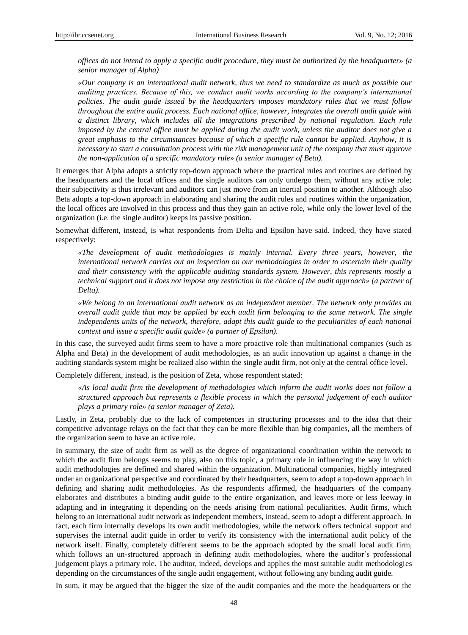*offices do not intend to apply a specific audit procedure, they must be authorized by the headquarter» (a senior manager of Alpha)*

*«Our company is an international audit network, thus we need to standardize as much as possible our auditing practices. Because of this, we conduct audit works according to the company's international policies. The audit guide issued by the headquarters imposes mandatory rules that we must follow throughout the entire audit process. Each national office, however, integrates the overall audit guide with a distinct library, which includes all the integrations prescribed by national regulation. Each rule imposed by the central office must be applied during the audit work, unless the auditor does not give a great emphasis to the circumstances because of which a specific rule cannot be applied. Anyhow, it is necessary to start a consultation process with the risk management unit of the company that must approve the non-application of a specific mandatory rule» (a senior manager of Beta).*

It emerges that Alpha adopts a strictly top-down approach where the practical rules and routines are defined by the headquarters and the local offices and the single auditors can only undergo them, without any active role; their subjectivity is thus irrelevant and auditors can just move from an inertial position to another. Although also Beta adopts a top-down approach in elaborating and sharing the audit rules and routines within the organization, the local offices are involved in this process and thus they gain an active role, while only the lower level of the organization (i.e. the single auditor) keeps its passive position.

Somewhat different, instead, is what respondents from Delta and Epsilon have said. Indeed, they have stated respectively:

*«The development of audit methodologies is mainly internal. Every three years, however, the international network carries out an inspection on our methodologies in order to ascertain their quality and their consistency with the applicable auditing standards system. However, this represents mostly a technical support and it does not impose any restriction in the choice of the audit approach» (a partner of Delta).*

*«We belong to an international audit network as an independent member. The network only provides an overall audit guide that may be applied by each audit firm belonging to the same network. The single independents units of the network, therefore, adapt this audit guide to the peculiarities of each national context and issue a specific audit guide» (a partner of Epsilon).*

In this case, the surveyed audit firms seem to have a more proactive role than multinational companies (such as Alpha and Beta) in the development of audit methodologies, as an audit innovation up against a change in the auditing standards system might be realized also within the single audit firm, not only at the central office level.

Completely different, instead, is the position of Zeta, whose respondent stated:

*«As local audit firm the development of methodologies which inform the audit works does not follow a structured approach but represents a flexible process in which the personal judgement of each auditor plays a primary role» (a senior manager of Zeta).*

Lastly, in Zeta, probably due to the lack of competences in structuring processes and to the idea that their competitive advantage relays on the fact that they can be more flexible than big companies, all the members of the organization seem to have an active role.

In summary, the size of audit firm as well as the degree of organizational coordination within the network to which the audit firm belongs seems to play, also on this topic, a primary role in influencing the way in which audit methodologies are defined and shared within the organization. Multinational companies, highly integrated under an organizational perspective and coordinated by their headquarters, seem to adopt a top-down approach in defining and sharing audit methodologies. As the respondents affirmed, the headquarters of the company elaborates and distributes a binding audit guide to the entire organization, and leaves more or less leeway in adapting and in integrating it depending on the needs arising from national peculiarities. Audit firms, which belong to an international audit network as independent members, instead, seem to adopt a different approach. In fact, each firm internally develops its own audit methodologies, while the network offers technical support and supervises the internal audit guide in order to verify its consistency with the international audit policy of the network itself. Finally, completely different seems to be the approach adopted by the small local audit firm, which follows an un-structured approach in defining audit methodologies, where the auditor's professional judgement plays a primary role. The auditor, indeed, develops and applies the most suitable audit methodologies depending on the circumstances of the single audit engagement, without following any binding audit guide.

In sum, it may be argued that the bigger the size of the audit companies and the more the headquarters or the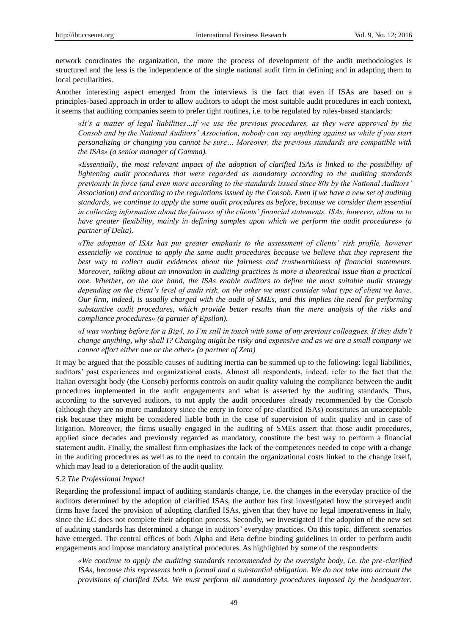network coordinates the organization, the more the process of development of the audit methodologies is structured and the less is the independence of the single national audit firm in defining and in adapting them to local peculiarities.

Another interesting aspect emerged from the interviews is the fact that even if ISAs are based on a principles-based approach in order to allow auditors to adopt the most suitable audit procedures in each context, it seems that auditing companies seem to prefer tight routines, i.e. to be regulated by rules-based standards:

*«It's a matter of legal liabilities…if we use the previous procedures, as they were approved by the Consob and by the National Auditors' Association, nobody can say anything against us while if you start personalizing or changing you cannot be sure… Moreover, the previous standards are compatible with the ISAs» (a senior manager of Gamma).*

*«Essentially, the most relevant impact of the adoption of clarified ISAs is linked to the possibility of lightening audit procedures that were regarded as mandatory according to the auditing standards previously in force (and even more according to the standards issued since 80s by the National Auditors' Association) and according to the regulations issued by the Consob. Even if we have a new set of auditing standards, we continue to apply the same audit procedures as before, because we consider them essential in collecting information about the fairness of the clients' financial statements. ISAs, however, allow us to have greater flexibility, mainly in defining samples upon which we perform the audit procedures» (a partner of Delta).*

*«The adoption of ISAs has put greater emphasis to the assessment of clients' risk profile, however essentially we continue to apply the same audit procedures because we believe that they represent the best way to collect audit evidences about the fairness and trustworthiness of financial statements. Moreover, talking about an innovation in auditing practices is more a theoretical issue than a practical one. Whether, on the one hand, the ISAs enable auditors to define the most suitable audit strategy depending on the client's level of audit risk, on the other we must consider what type of client we have. Our firm, indeed, is usually charged with the audit of SMEs, and this implies the need for performing substantive audit procedures, which provide better results than the mere analysis of the risks and compliance procedures» (a partner of Epsilon).*

*«I was working before for a Big4, so I'm still in touch with some of my previous colleagues. If they didn't change anything, why shall I? Changing might be risky and expensive and as we are a small company we cannot effort either one or the other» (a partner of Zeta)*

It may be argued that the possible causes of auditing inertia can be summed up to the following: legal liabilities, auditors" past experiences and organizational costs. Almost all respondents, indeed, refer to the fact that the Italian oversight body (the Consob) performs controls on audit quality valuing the compliance between the audit procedures implemented in the audit engagements and what is asserted by the auditing standards. Thus, according to the surveyed auditors, to not apply the audit procedures already recommended by the Consob (although they are no more mandatory since the entry in force of pre-clarified ISAs) constitutes an unacceptable risk because they might be considered liable both in the case of supervision of audit quality and in case of litigation. Moreover, the firms usually engaged in the auditing of SMEs assert that those audit procedures, applied since decades and previously regarded as mandatory, constitute the best way to perform a financial statement audit. Finally, the smallest firm emphasizes the lack of the competences needed to cope with a change in the auditing procedures as well as to the need to contain the organizational costs linked to the change itself, which may lead to a deterioration of the audit quality.

## *5.2 The Professional Impact*

Regarding the professional impact of auditing standards change, i.e. the changes in the everyday practice of the auditors determined by the adoption of clarified ISAs, the author has first investigated how the surveyed audit firms have faced the provision of adopting clarified ISAs, given that they have no legal imperativeness in Italy, since the EC does not complete their adoption process. Secondly, we investigated if the adoption of the new set of auditing standards has determined a change in auditors" everyday practices. On this topic, different scenarios have emerged. The central offices of both Alpha and Beta define binding guidelines in order to perform audit engagements and impose mandatory analytical procedures. As highlighted by some of the respondents:

*«We continue to apply the auditing standards recommended by the oversight body, i.e. the pre-clarified ISAs, because this represents both a formal and a substantial obligation. We do not take into account the provisions of clarified ISAs. We must perform all mandatory procedures imposed by the headquarter.*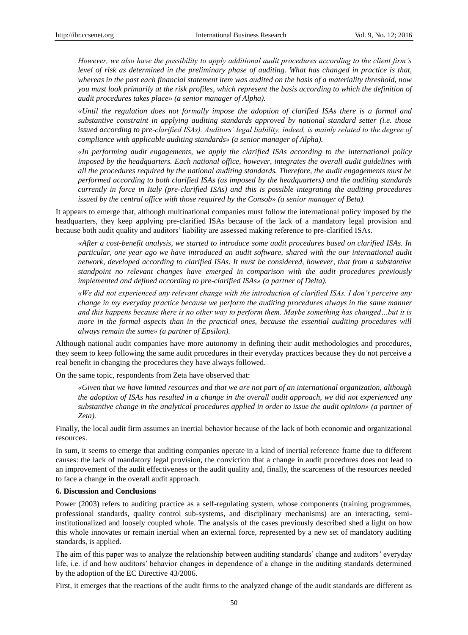*However, we also have the possibility to apply additional audit procedures according to the client firm's level of risk as determined in the preliminary phase of auditing. What has changed in practice is that, whereas in the past each financial statement item was audited on the basis of a materiality threshold, now you must look primarily at the risk profiles, which represent the basis according to which the definition of audit procedures takes place» (a senior manager of Alpha).*

*«Until the regulation does not formally impose the adoption of clarified ISAs there is a formal and substantive constraint in applying auditing standards approved by national standard setter (i.e. those issued according to pre-clarified ISAs). Auditors' legal liability, indeed, is mainly related to the degree of compliance with applicable auditing standards» (a senior manager of Alpha).*

*«In performing audit engagements, we apply the clarified ISAs according to the international policy imposed by the headquarters. Each national office, however, integrates the overall audit guidelines with all the procedures required by the national auditing standards. Therefore, the audit engagements must be performed according to both clarified ISAs (as imposed by the headquarters) and the auditing standards currently in force in Italy (pre-clarified ISAs) and this is possible integrating the auditing procedures issued by the central office with those required by the Consob» (a senior manager of Beta).*

It appears to emerge that, although multinational companies must follow the international policy imposed by the headquarters, they keep applying pre-clarified ISAs because of the lack of a mandatory legal provision and because both audit quality and auditors" liability are assessed making reference to pre-clarified ISAs.

*«After a cost-benefit analysis, we started to introduce some audit procedures based on clarified ISAs. In particular, one year ago we have introduced an audit software, shared with the our international audit network, developed according to clarified ISAs. It must be considered, however, that from a substantive standpoint no relevant changes have emerged in comparison with the audit procedures previously implemented and defined according to pre-clarified ISAs» (a partner of Delta).*

*«We did not experienced any relevant change with the introduction of clarified ISAs. I don't perceive any change in my everyday practice because we perform the auditing procedures always in the same manner and this happens because there is no other way to perform them. Maybe something has changed…but it is more in the formal aspects than in the practical ones, because the essential auditing procedures will always remain the same» (a partner of Epsilon).*

Although national audit companies have more autonomy in defining their audit methodologies and procedures, they seem to keep following the same audit procedures in their everyday practices because they do not perceive a real benefit in changing the procedures they have always followed.

On the same topic, respondents from Zeta have observed that:

*«Given that we have limited resources and that we are not part of an international organization, although the adoption of ISAs has resulted in a change in the overall audit approach, we did not experienced any substantive change in the analytical procedures applied in order to issue the audit opinion» (a partner of Zeta).*

Finally, the local audit firm assumes an inertial behavior because of the lack of both economic and organizational resources.

In sum, it seems to emerge that auditing companies operate in a kind of inertial reference frame due to different causes: the lack of mandatory legal provision, the conviction that a change in audit procedures does not lead to an improvement of the audit effectiveness or the audit quality and, finally, the scarceness of the resources needed to face a change in the overall audit approach.

# **6. Discussion and Conclusions**

Power (2003) refers to auditing practice as a self-regulating system, whose components (training programmes, professional standards, quality control sub-systems, and disciplinary mechanisms) are an interacting, semiinstitutionalized and loosely coupled whole. The analysis of the cases previously described shed a light on how this whole innovates or remain inertial when an external force, represented by a new set of mandatory auditing standards, is applied.

The aim of this paper was to analyze the relationship between auditing standards" change and auditors" everyday life, i.e. if and how auditors" behavior changes in dependence of a change in the auditing standards determined by the adoption of the EC Directive 43/2006.

First, it emerges that the reactions of the audit firms to the analyzed change of the audit standards are different as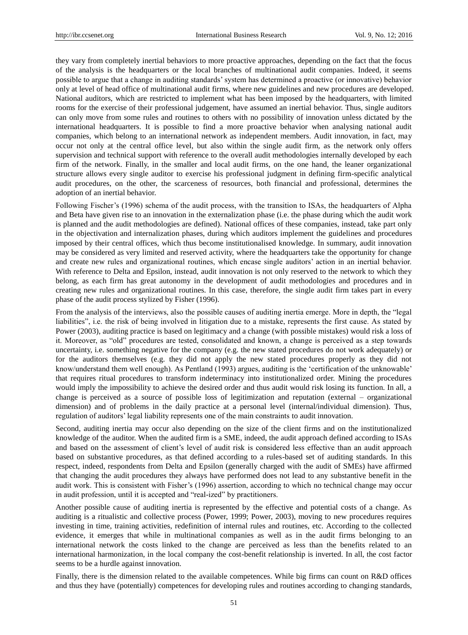they vary from completely inertial behaviors to more proactive approaches, depending on the fact that the focus of the analysis is the headquarters or the local branches of multinational audit companies. Indeed, it seems possible to argue that a change in auditing standards" system has determined a proactive (or innovative) behavior only at level of head office of multinational audit firms, where new guidelines and new procedures are developed. National auditors, which are restricted to implement what has been imposed by the headquarters, with limited rooms for the exercise of their professional judgement, have assumed an inertial behavior. Thus, single auditors can only move from some rules and routines to others with no possibility of innovation unless dictated by the international headquarters. It is possible to find a more proactive behavior when analysing national audit companies, which belong to an international network as independent members. Audit innovation, in fact, may occur not only at the central office level, but also within the single audit firm, as the network only offers supervision and technical support with reference to the overall audit methodologies internally developed by each firm of the network. Finally, in the smaller and local audit firms, on the one hand, the leaner organizational structure allows every single auditor to exercise his professional judgment in defining firm-specific analytical audit procedures, on the other, the scarceness of resources, both financial and professional, determines the adoption of an inertial behavior.

Following Fischer"s (1996) schema of the audit process, with the transition to ISAs, the headquarters of Alpha and Beta have given rise to an innovation in the externalization phase (i.e. the phase during which the audit work is planned and the audit methodologies are defined). National offices of these companies, instead, take part only in the objectivation and internalization phases, during which auditors implement the guidelines and procedures imposed by their central offices, which thus become institutionalised knowledge. In summary, audit innovation may be considered as very limited and reserved activity, where the headquarters take the opportunity for change and create new rules and organizational routines, which encase single auditors" action in an inertial behavior. With reference to Delta and Epsilon, instead, audit innovation is not only reserved to the network to which they belong, as each firm has great autonomy in the development of audit methodologies and procedures and in creating new rules and organizational routines. In this case, therefore, the single audit firm takes part in every phase of the audit process stylized by Fisher (1996).

From the analysis of the interviews, also the possible causes of auditing inertia emerge. More in depth, the "legal liabilities", i.e. the risk of being involved in litigation due to a mistake, represents the first cause. As stated by Power (2003), auditing practice is based on legitimacy and a change (with possible mistakes) would risk a loss of it. Moreover, as "old" procedures are tested, consolidated and known, a change is perceived as a step towards uncertainty, i.e. something negative for the company (e.g. the new stated procedures do not work adequately) or for the auditors themselves (e.g. they did not apply the new stated procedures properly as they did not know/understand them well enough). As Pentland (1993) argues, auditing is the "certification of the unknowable" that requires ritual procedures to transform indeterminacy into institutionalized order. Mining the procedures would imply the impossibility to achieve the desired order and thus audit would risk losing its function. In all, a change is perceived as a source of possible loss of legitimization and reputation (external – organizational dimension) and of problems in the daily practice at a personal level (internal/individual dimension). Thus, regulation of auditors" legal liability represents one of the main constraints to audit innovation.

Second, auditing inertia may occur also depending on the size of the client firms and on the institutionalized knowledge of the auditor. When the audited firm is a SME, indeed, the audit approach defined according to ISAs and based on the assessment of client"s level of audit risk is considered less effective than an audit approach based on substantive procedures, as that defined according to a rules-based set of auditing standards. In this respect, indeed, respondents from Delta and Epsilon (generally charged with the audit of SMEs) have affirmed that changing the audit procedures they always have performed does not lead to any substantive benefit in the audit work. This is consistent with Fisher"s (1996) assertion, according to which no technical change may occur in audit profession, until it is accepted and "real-ized" by practitioners.

Another possible cause of auditing inertia is represented by the effective and potential costs of a change. As auditing is a ritualistic and collective process (Power, 1999; Power, 2003), moving to new procedures requires investing in time, training activities, redefinition of internal rules and routines, etc. According to the collected evidence, it emerges that while in multinational companies as well as in the audit firms belonging to an international network the costs linked to the change are perceived as less than the benefits related to an international harmonization, in the local company the cost-benefit relationship is inverted. In all, the cost factor seems to be a hurdle against innovation.

Finally, there is the dimension related to the available competences. While big firms can count on R&D offices and thus they have (potentially) competences for developing rules and routines according to changing standards,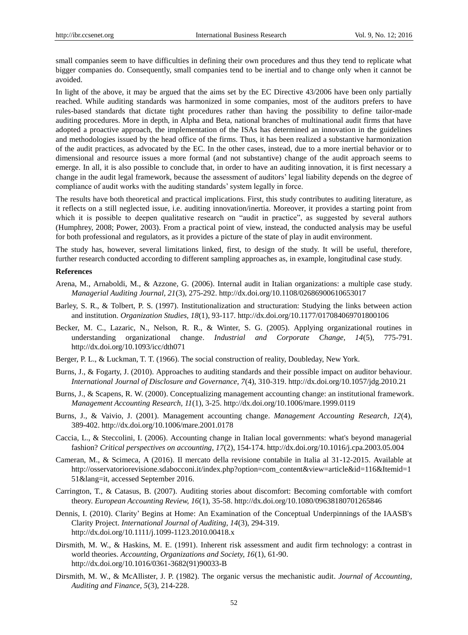small companies seem to have difficulties in defining their own procedures and thus they tend to replicate what bigger companies do. Consequently, small companies tend to be inertial and to change only when it cannot be avoided.

In light of the above, it may be argued that the aims set by the EC Directive 43/2006 have been only partially reached. While auditing standards was harmonized in some companies, most of the auditors prefers to have rules-based standards that dictate tight procedures rather than having the possibility to define tailor-made auditing procedures. More in depth, in Alpha and Beta, national branches of multinational audit firms that have adopted a proactive approach, the implementation of the ISAs has determined an innovation in the guidelines and methodologies issued by the head office of the firms. Thus, it has been realized a substantive harmonization of the audit practices, as advocated by the EC. In the other cases, instead, due to a more inertial behavior or to dimensional and resource issues a more formal (and not substantive) change of the audit approach seems to emerge. In all, it is also possible to conclude that, in order to have an auditing innovation, it is first necessary a change in the audit legal framework, because the assessment of auditors" legal liability depends on the degree of compliance of audit works with the auditing standards" system legally in force.

The results have both theoretical and practical implications. First, this study contributes to auditing literature, as it reflects on a still neglected issue, i.e. auditing innovation/inertia. Moreover, it provides a starting point from which it is possible to deepen qualitative research on "audit in practice", as suggested by several authors (Humphrey, 2008; Power, 2003). From a practical point of view, instead, the conducted analysis may be useful for both professional and regulators, as it provides a picture of the state of play in audit environment.

The study has, however, several limitations linked, first, to design of the study. It will be useful, therefore, further research conducted according to different sampling approaches as, in example, longitudinal case study.

### **References**

- Arena, M., Arnaboldi, M., & Azzone, G. (2006). Internal audit in Italian organizations: a multiple case study. *Managerial Auditing Journal, 21*(3), 275-292. <http://dx.doi.org/10.1108/02686900610653017>
- Barley, S. R., & Tolbert, P. S. (1997). Institutionalization and structuration: Studying the links between action and institution. *Organization Studies, 18*(1), 93-117. <http://dx.doi.org/10.1177/017084069701800106>
- Becker, M. C., Lazaric, N., Nelson, R. R., & Winter, S. G. (2005). Applying organizational routines in understanding organizational change. *Industrial and Corporate Change, 14*(5), 775-791. <http://dx.doi.org/10.1093/icc/dth071>
- Berger, P. L., & Luckman, T. T. (1966). The social construction of reality, Doubleday, New York.
- Burns, J., & Fogarty, J. (2010). Approaches to auditing standards and their possible impact on auditor behaviour. *International Journal of Disclosure and Governance, 7*(4), 310-319. <http://dx.doi.org/10.1057/jdg.2010.21>
- Burns, J., & Scapens, R. W. (2000). Conceptualizing management accounting change: an institutional framework. *Management Accounting Research, 11*(1), 3-25. <http://dx.doi.org/10.1006/mare.1999.0119>
- Burns, J., & Vaivio, J. (2001). Management accounting change. *Management Accounting Research, 12*(4), 389-402. <http://dx.doi.org/10.1006/mare.2001.0178>
- Caccia, L., & Steccolini, I. (2006). Accounting change in Italian local governments: what's beyond managerial fashion? *Critical perspectives on accounting, 17*(2), 154-174. <http://dx.doi.org/10.1016/j.cpa.2003.05.004>
- Cameran, M., & Scimeca, A (2016). Il mercato della revisione contabile in Italia al 31-12-2015. Available at http://osservatoriorevisione.sdabocconi.it/index.php?option=com\_content&view=article&id=116&Itemid=1 51&lang=it, accessed September 2016.
- Carrington, T., & Catasus, B. (2007). Auditing stories about discomfort: Becoming comfortable with comfort theory. *European Accounting Review, 16*(1), 35-58. <http://dx.doi.org/10.1080/09638180701265846>
- Dennis, I. (2010). Clarity" Begins at Home: An Examination of the Conceptual Underpinnings of the IAASB's Clarity Project. *International Journal of Auditing, 14*(3), 294-319. <http://dx.doi.org/10.1111/j.1099-1123.2010.00418.x>
- Dirsmith, M. W., & Haskins, M. E. (1991). Inherent risk assessment and audit firm technology: a contrast in world theories. *Accounting, Organizations and Society, 16*(1), 61-90. [http://dx.doi.org/10.1016/0361-3682\(91\)90033-B](http://dx.doi.org/10.1016/0361-3682%2891%2990033-B)
- Dirsmith, M. W., & McAllister, J. P. (1982). The organic versus the mechanistic audit. *Journal of Accounting, Auditing and Finance, 5*(3), 214-228.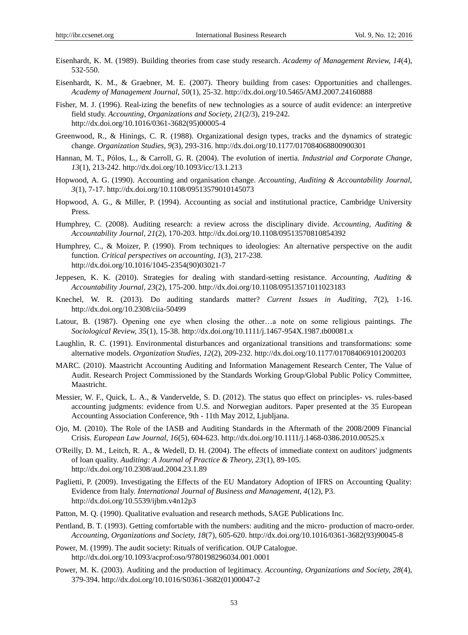- Eisenhardt, K. M. (1989). Building theories from case study research. *Academy of Management Review, 14*(4), 532-550.
- Eisenhardt, K. M., & Graebner, M. E. (2007). Theory building from cases: Opportunities and challenges. *Academy of Management Journal, 50*(1), 25-32. <http://dx.doi.org/10.5465/AMJ.2007.24160888>
- Fisher, M. J. (1996). Real-izing the benefits of new technologies as a source of audit evidence: an interpretive field study. *Accounting, Organizations and Society, 21*(2/3), 219-242. [http://dx.doi.org/10.1016/0361-3682\(95\)00005-4](http://dx.doi.org/10.1016/0361-3682%2895%2900005-4)
- Greenwood, R., & Hinings, C. R. (1988). Organizational design types, tracks and the dynamics of strategic change. *Organization Studies, 9*(3), 293-316. <http://dx.doi.org/10.1177/017084068800900301>
- Hannan, M. T., Pólos, L., & Carroll, G. R. (2004). The evolution of inertia. *Industrial and Corporate Change, 13*(1), 213-242. <http://dx.doi.org/10.1093/icc/13.1.213>
- Hopwood, A. G. (1990). Accounting and organisation change. *Accounting, Auditing & Accountability Journal, 3*(1), 7-17. <http://dx.doi.org/10.1108/09513579010145073>
- Hopwood, A. G., & Miller, P. (1994). Accounting as social and institutional practice, Cambridge University Press.
- Humphrey, C. (2008). Auditing research: a review across the disciplinary divide. *Accounting, Auditing & Accountability Journal, 21*(2), 170-203. <http://dx.doi.org/10.1108/09513570810854392>
- Humphrey, C., & Moizer, P. (1990). From techniques to ideologies: An alternative perspective on the audit function. *Critical perspectives on accounting, 1*(3), 217-238. [http://dx.doi.org/10.1016/1045-2354\(90\)03021-7](http://dx.doi.org/10.1016/1045-2354%2890%2903021-7)
- Jeppesen, K. K. (2010). Strategies for dealing with standard-setting resistance. *Accounting, Auditing & Accountability Journal, 23*(2), 175-200. <http://dx.doi.org/10.1108/09513571011023183>
- Knechel, W. R. (2013). Do auditing standards matter? *Current Issues in Auditing, 7*(2), 1-16. <http://dx.doi.org/10.2308/ciia-50499>
- Latour, B. (1987). Opening one eye when closing the other…a note on some religious paintings. *The Sociological Review, 35*(1), 15-38. <http://dx.doi.org/10.1111/j.1467-954X.1987.tb00081.x>
- Laughlin, R. C. (1991). Environmental disturbances and organizational transitions and transformations: some alternative models. *Organization Studies, 12*(2), 209-232. <http://dx.doi.org/10.1177/017084069101200203>
- MARC. (2010). Maastricht Accounting Auditing and Information Management Research Center, The Value of Audit. Research Project Commissioned by the Standards Working Group/Global Public Policy Committee, Maastricht.
- Messier, W. F., Quick, L. A., & Vandervelde, S. D. (2012). The status quo effect on principles- vs. rules-based accounting judgments: evidence from U.S. and Norwegian auditors. Paper presented at the 35 European Accounting Association Conference, 9th - 11th May 2012, Ljubljana.
- Ojo, M. (2010). The Role of the IASB and Auditing Standards in the Aftermath of the 2008/2009 Financial Crisis. *European Law Journal, 16*(5), 604-623. <http://dx.doi.org/10.1111/j.1468-0386.2010.00525.x>
- O'Reilly, D. M., Leitch, R. A., & Wedell, D. H. (2004). The effects of immediate context on auditors' judgments of loan quality. *Auditing: A Journal of Practice & Theory, 23*(1), 89-105. <http://dx.doi.org/10.2308/aud.2004.23.1.89>
- Paglietti, P. (2009). Investigating the Effects of the EU Mandatory Adoption of IFRS on Accounting Quality: Evidence from Italy. *International Journal of Business and Management, 4*(12), P3. <http://dx.doi.org/10.5539/ijbm.v4n12p3>
- Patton, M. Q. (1990). Qualitative evaluation and research methods, SAGE Publications Inc.
- Pentland, B. T. (1993). Getting comfortable with the numbers: auditing and the micro- production of macro-order. *Accounting, Organizations and Society, 18*(7), 605-620. [http://dx.doi.org/10.1016/0361-3682\(93\)90045-8](http://dx.doi.org/10.1016/0361-3682%2893%2990045-8)
- Power, M. (1999). The audit society: Rituals of verification. OUP Catalogue. <http://dx.doi.org/10.1093/acprof:oso/9780198296034.001.0001>
- Power, M. K. (2003). Auditing and the production of legitimacy. *Accounting, Organizations and Society, 28*(4), 379-394. [http://dx.doi.org/10.1016/S0361-3682\(01\)00047-2](http://dx.doi.org/10.1016/S0361-3682%2801%2900047-2)